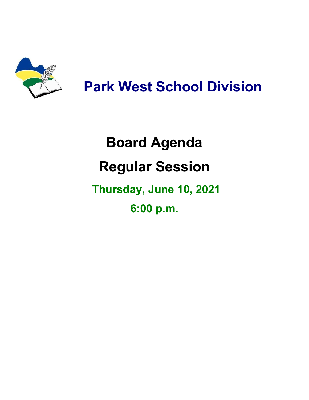

## **Park West School Division**

## **Board Agenda Regular Session Thursday, June 10, 2021 6:00 p.m.**